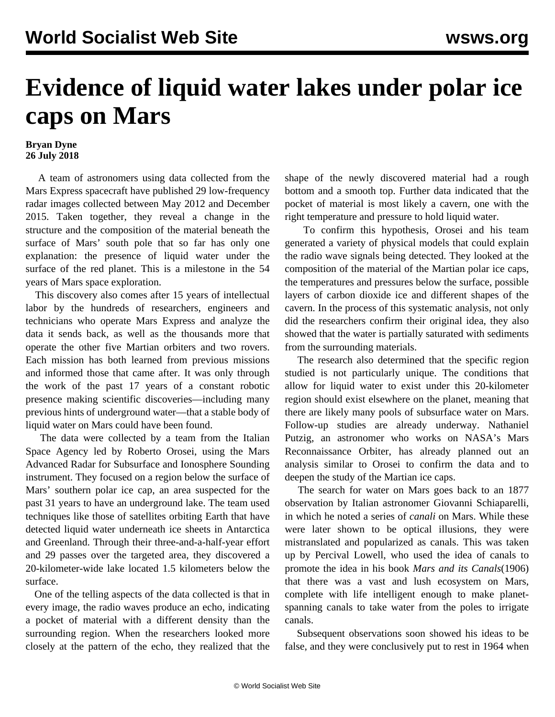## **Evidence of liquid water lakes under polar ice caps on Mars**

## **Bryan Dyne 26 July 2018**

 A team of astronomers using data collected from the Mars Express spacecraft have published 29 low-frequency radar images collected between May 2012 and December 2015. Taken together, they reveal a change in the structure and the composition of the material beneath the surface of Mars' south pole that so far has only one explanation: the presence of liquid water under the surface of the red planet. This is a milestone in the 54 years of Mars space exploration.

 This discovery also comes after 15 years of intellectual labor by the hundreds of researchers, engineers and technicians who operate Mars Express and analyze the data it sends back, as well as the thousands more that operate the other five Martian orbiters and two rovers. Each mission has both learned from previous missions and informed those that came after. It was only through the work of the past 17 years of a constant robotic presence making scientific discoveries—including [many](/en/articles/2015/09/29/mars-s29.html) [previous hints](/en/articles/2015/09/29/mars-s29.html) of underground water—that a stable body of liquid water on Mars could have been found.

 The data were collected by a team from the Italian Space Agency led by Roberto Orosei, using the Mars Advanced Radar for Subsurface and Ionosphere Sounding instrument. They focused on a region below the surface of Mars' southern polar ice cap, an area suspected for the past 31 years to have an underground lake. The team used techniques like those of satellites orbiting Earth that have detected liquid water underneath ice sheets in Antarctica and Greenland. Through their three-and-a-half-year effort and 29 passes over the targeted area, they discovered a 20-kilometer-wide lake located 1.5 kilometers below the surface.

 One of the telling aspects of the data collected is that in every image, the radio waves produce an echo, indicating a pocket of material with a different density than the surrounding region. When the researchers looked more closely at the pattern of the echo, they realized that the shape of the newly discovered material had a rough bottom and a smooth top. Further data indicated that the pocket of material is most likely a cavern, one with the right temperature and pressure to hold liquid water.

 To confirm this hypothesis, Orosei and his team generated a variety of physical models that could explain the radio wave signals being detected. They looked at the composition of the material of the Martian polar ice caps, the temperatures and pressures below the surface, possible layers of carbon dioxide ice and different shapes of the cavern. In the process of this systematic analysis, not only did the researchers confirm their original idea, they also showed that the water is partially saturated with sediments from the surrounding materials.

 The research also determined that the specific region studied is not particularly unique. The conditions that allow for liquid water to exist under this 20-kilometer region should exist elsewhere on the planet, meaning that there are likely many pools of subsurface water on Mars. Follow-up studies are already underway. Nathaniel Putzig, an astronomer who works on NASA's Mars Reconnaissance Orbiter, has already planned out an analysis similar to Orosei to confirm the data and to deepen the study of the Martian ice caps.

 The search for water on Mars goes back to an 1877 observation by Italian astronomer Giovanni Schiaparelli, in which he noted a series of *canali* on Mars. While these were later shown to be optical illusions, they were mistranslated and popularized as canals. This was taken up by Percival Lowell, who used the idea of canals to promote the idea in his book *Mars and its Canals*(1906) that there was a vast and lush ecosystem on Mars, complete with life intelligent enough to make planetspanning canals to take water from the poles to irrigate canals.

 Subsequent observations soon showed his ideas to be false, and they were conclusively put to rest in 1964 when